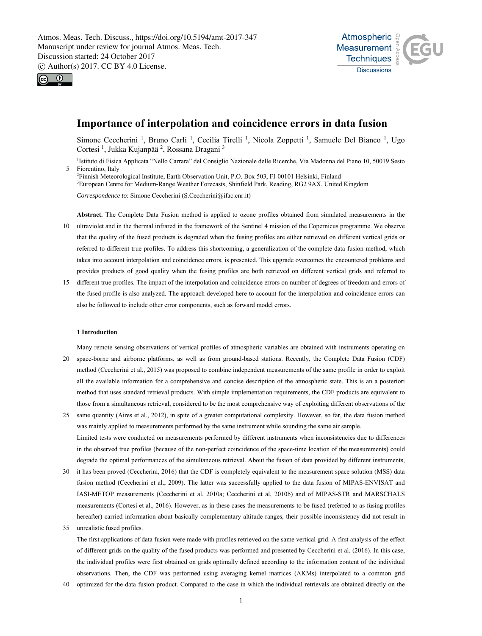



# **Importance of interpolation and coincidence errors in data fusion**

Simone Ceccherini<sup>1</sup>, Bruno Carli<sup>1</sup>, Cecilia Tirelli<sup>1</sup>, Nicola Zoppetti<sup>1</sup>, Samuele Del Bianco<sup>1</sup>, Ugo Cortesi <sup>1</sup>, Jukka Kujanpää <sup>2</sup>, Rossana Dragani <sup>3</sup>

<sup>1</sup>Istituto di Fisica Applicata "Nello Carrara" del Consiglio Nazionale delle Ricerche, Via Madonna del Piano 10, 50019 Sesto 5 Fiorentino, Italy

2 Finnish Meteorological Institute, Earth Observation Unit, P.O. Box 503, FI-00101 Helsinki, Finland 3 European Centre for Medium-Range Weather Forecasts, Shinfield Park, Reading, RG2 9AX, United Kingdom

*Correspondence to*: Simone Ceccherini (S.Ceccherini@ifac.cnr.it)

**Abstract.** The Complete Data Fusion method is applied to ozone profiles obtained from simulated measurements in the 10 ultraviolet and in the thermal infrared in the framework of the Sentinel 4 mission of the Copernicus programme. We observe that the quality of the fused products is degraded when the fusing profiles are either retrieved on different vertical grids or referred to different true profiles. To address this shortcoming, a generalization of the complete data fusion method, which takes into account interpolation and coincidence errors, is presented. This upgrade overcomes the encountered problems and provides products of good quality when the fusing profiles are both retrieved on different vertical grids and referred to

15 different true profiles. The impact of the interpolation and coincidence errors on number of degrees of freedom and errors of the fused profile is also analyzed. The approach developed here to account for the interpolation and coincidence errors can also be followed to include other error components, such as forward model errors.

## **1 Introduction**

Many remote sensing observations of vertical profiles of atmospheric variables are obtained with instruments operating on 20 space-borne and airborne platforms, as well as from ground-based stations. Recently, the Complete Data Fusion (CDF) method (Ceccherini et al., 2015) was proposed to combine independent measurements of the same profile in order to exploit all the available information for a comprehensive and concise description of the atmospheric state. This is an a posteriori method that uses standard retrieval products. With simple implementation requirements, the CDF products are equivalent to those from a simultaneous retrieval, considered to be the most comprehensive way of exploiting different observations of the

25 same quantity (Aires et al., 2012), in spite of a greater computational complexity. However, so far, the data fusion method was mainly applied to measurements performed by the same instrument while sounding the same air sample. Limited tests were conducted on measurements performed by different instruments when inconsistencies due to differences in the observed true profiles (because of the non-perfect coincidence of the space-time location of the measurements) could degrade the optimal performances of the simultaneous retrieval. About the fusion of data provided by different instruments,

- 30 it has been proved (Ceccherini, 2016) that the CDF is completely equivalent to the measurement space solution (MSS) data fusion method (Ceccherini et al., 2009). The latter was successfully applied to the data fusion of MIPAS-ENVISAT and IASI-METOP measurements (Ceccherini et al, 2010a; Ceccherini et al, 2010b) and of MIPAS-STR and MARSCHALS measurements (Cortesi et al., 2016). However, as in these cases the measurements to be fused (referred to as fusing profiles hereafter) carried information about basically complementary altitude ranges, their possible inconsistency did not result in
- 35 unrealistic fused profiles. The first applications of data fusion were made with profiles retrieved on the same vertical grid. A first analysis of the effect of different grids on the quality of the fused products was performed and presented by Ceccherini et al. (2016). In this case, the individual profiles were first obtained on grids optimally defined according to the information content of the individual observations. Then, the CDF was performed using averaging kernel matrices (AKMs) interpolated to a common grid
- 40 optimized for the data fusion product. Compared to the case in which the individual retrievals are obtained directly on the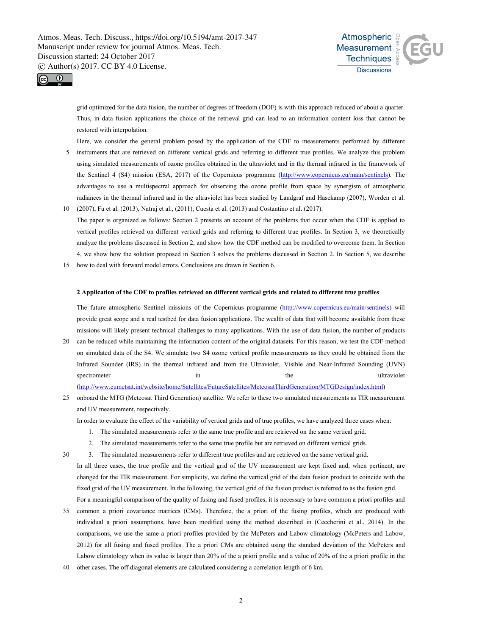



grid optimized for the data fusion, the number of degrees of freedom (DOF) is with this approach reduced of about a quarter. Thus, in data fusion applications the choice of the retrieval grid can lead to an information content loss that cannot be restored with interpolation.

- Here, we consider the general problem posed by the application of the CDF to measurements performed by different 5 instruments that are retrieved on different vertical grids and referring to different true profiles. We analyze this problem using simulated measurements of ozone profiles obtained in the ultraviolet and in the thermal infrared in the framework of the Sentinel 4 (S4) mission (ESA, 2017) of the Copernicus programme (http://www.copernicus.eu/main/sentinels). The advantages to use a multispectral approach for observing the ozone profile from space by synergism of atmospheric radiances in the thermal infrared and in the ultraviolet has been studied by Landgraf and Hasekamp (2007), Worden et al.
- 10 (2007), Fu et al. (2013), Natraj et al., (2011), Cuesta et al. (2013) and Costantino et al. (2017). The paper is organized as follows: Section 2 presents an account of the problems that occur when the CDF is applied to vertical profiles retrieved on different vertical grids and referring to different true profiles. In Section 3, we theoretically analyze the problems discussed in Section 2, and show how the CDF method can be modified to overcome them. In Section 4, we show how the solution proposed in Section 3 solves the problems discussed in Section 2. In Section 5, we describe
- 15 how to deal with forward model errors. Conclusions are drawn in Section 6.

# **2 Application of the CDF to profiles retrieved on different vertical grids and related to different true profiles**

The future atmospheric Sentinel missions of the Copernicus programme (http://www.copernicus.eu/main/sentinels) will provide great scope and a real testbed for data fusion applications. The wealth of data that will become available from these missions will likely present technical challenges to many applications. With the use of data fusion, the number of products

- 20 can be reduced while maintaining the information content of the original datasets. For this reason, we test the CDF method on simulated data of the S4. We simulate two S4 ozone vertical profile measurements as they could be obtained from the Infrared Sounder (IRS) in the thermal infrared and from the Ultraviolet, Visible and Near-Infrared Sounding (UVN) spectrometer in the ultraviolet in the ultraviolet (http://www.eumetsat.int/website/home/Satellites/FutureSatellites/MeteosatThirdGeneration/MTGDesign/index.html)
- 25 onboard the MTG (Meteosat Third Generation) satellite. We refer to these two simulated measurements as TIR measurement and UV measurement, respectively.

In order to evaluate the effect of the variability of vertical grids and of true profiles, we have analyzed three cases when:

- 1. The simulated measurements refer to the same true profile and are retrieved on the same vertical grid.
- 2. The simulated measurements refer to the same true profile but are retrieved on different vertical grids.
- 30 3. The simulated measurements refer to different true profiles and are retrieved on the same vertical grid. In all three cases, the true profile and the vertical grid of the UV measurement are kept fixed and, when pertinent, are changed for the TIR measurement. For simplicity, we define the vertical grid of the data fusion product to coincide with the fixed grid of the UV measurement. In the following, the vertical grid of the fusion product is referred to as the fusion grid.
- 35 common a priori covariance matrices (CMs). Therefore, the a priori of the fusing profiles, which are produced with individual a priori assumptions, have been modified using the method described in (Ceccherini et al., 2014). In the comparisons, we use the same a priori profiles provided by the McPeters and Labow climatology (McPeters and Labow, 2012) for all fusing and fused profiles. The a priori CMs are obtained using the standard deviation of the McPeters and Labow climatology when its value is larger than 20% of the a priori profile and a value of 20% of the a priori profile in the

For a meaningful comparison of the quality of fusing and fused profiles, it is necessary to have common a priori profiles and

40 other cases. The off diagonal elements are calculated considering a correlation length of 6 km.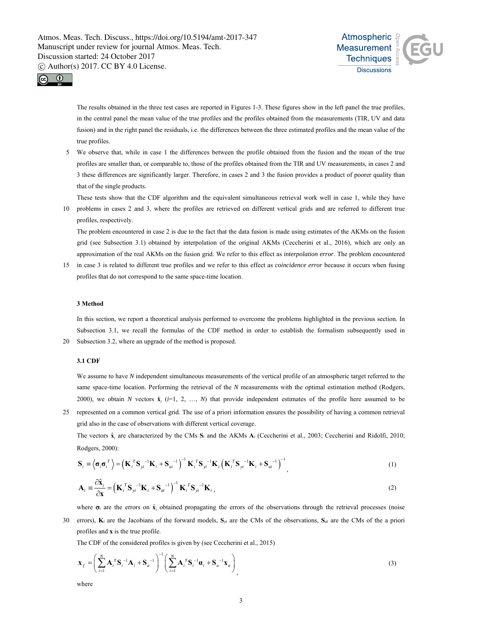



The results obtained in the three test cases are reported in Figures 1-3. These figures show in the left panel the true profiles, in the central panel the mean value of the true profiles and the profiles obtained from the measurements (TIR, UV and data fusion) and in the right panel the residuals, i.e. the differences between the three estimated profiles and the mean value of the true profiles.

5 We observe that, while in case 1 the differences between the profile obtained from the fusion and the mean of the true profiles are smaller than, or comparable to, those of the profiles obtained from the TIR and UV measurements, in cases 2 and 3 these differences are significantly larger. Therefore, in cases 2 and 3 the fusion provides a product of poorer quality than that of the single products.

These tests show that the CDF algorithm and the equivalent simultaneous retrieval work well in case 1, while they have

10 problems in cases 2 and 3, where the profiles are retrieved on different vertical grids and are referred to different true profiles, respectively.

The problem encountered in case 2 is due to the fact that the data fusion is made using estimates of the AKMs on the fusion grid (see Subsection 3.1) obtained by interpolation of the original AKMs (Ceccherini et al., 2016), which are only an approximation of the real AKMs on the fusion grid. We refer to this effect as *interpolation error*. The problem encountered

15 in case 3 is related to different true profiles and we refer to this effect as *coincidence error* because it occurs when fusing profiles that do not correspond to the same space-time location.

# **3 Method**

In this section, we report a theoretical analysis performed to overcome the problems highlighted in the previous section. In Subsection 3.1, we recall the formulas of the CDF method in order to establish the formalism subsequently used in 20 Subsection 3.2, where an upgrade of the method is proposed.

# **3.1 CDF**

We assume to have *N* independent simultaneous measurements of the vertical profile of an atmospheric target referred to the same space-time location. Performing the retrieval of the *N* measurements with the optimal estimation method (Rodgers, 2000), we obtain *N* vectors  $\hat{\mathbf{x}}_i$  ( $i=1, 2, ..., N$ ) that provide independent estimates of the profile here assumed to be

25 represented on a common vertical grid. The use of a priori information ensures the possibility of having a common retrieval grid also in the case of observations with different vertical coverage.

The vectors  $\hat{\mathbf{x}}_i$  are characterized by the CMs  $\mathbf{S}_i$  and the AKMs  $\mathbf{A}_i$  (Ceccherini et al., 2003; Ceccherini and Ridolfi, 2010; Rodgers, 2000):

$$
\mathbf{S}_{i} \equiv \left\langle \boldsymbol{\sigma}_{i} \boldsymbol{\sigma}_{i}^{T} \right\rangle = \left(\mathbf{K}_{i}^{T} \mathbf{S}_{yi}^{-1} \mathbf{K}_{i} + \mathbf{S}_{ai}^{-1}\right)^{-1} \mathbf{K}_{i}^{T} \mathbf{S}_{yi}^{-1} \mathbf{K}_{i} \left(\mathbf{K}_{i}^{T} \mathbf{S}_{yi}^{-1} \mathbf{K}_{i} + \mathbf{S}_{ai}^{-1}\right)^{-1}, \tag{1}
$$

$$
\mathbf{A}_{i} = \frac{\partial \hat{\mathbf{x}}_{i}}{\partial \mathbf{x}} = \left(\mathbf{K}_{i}^{T} \mathbf{S}_{yi}^{-1} \mathbf{K}_{i} + \mathbf{S}_{ai}^{-1}\right)^{-1} \mathbf{K}_{i}^{T} \mathbf{S}_{yi}^{-1} \mathbf{K}_{i},
$$
\n(2)

where  $\sigma_i$  are the errors on  $\hat{\mathbf{x}}_i$  obtained propagating the errors of the observations through the retrieval processes (noise

30 errors), **K***i* are the Jacobians of the forward models, **S***yi* are the CMs of the observations, **S***ai* are the CMs of the a priori profiles and **x** is the true profile.

The CDF of the considered profiles is given by (see Ceccherini et al., 2015)

$$
\mathbf{x}_{f} = \left(\sum_{i=1}^{N} \mathbf{A}_{i}^{T} \mathbf{S}_{i}^{-1} \mathbf{A}_{i} + \mathbf{S}_{a}^{-1}\right)^{-1} \left(\sum_{i=1}^{N} \mathbf{A}_{i}^{T} \mathbf{S}_{i}^{-1} \mathbf{a}_{i} + \mathbf{S}_{a}^{-1} \mathbf{x}_{a}\right)_{1}
$$
\n(3)

where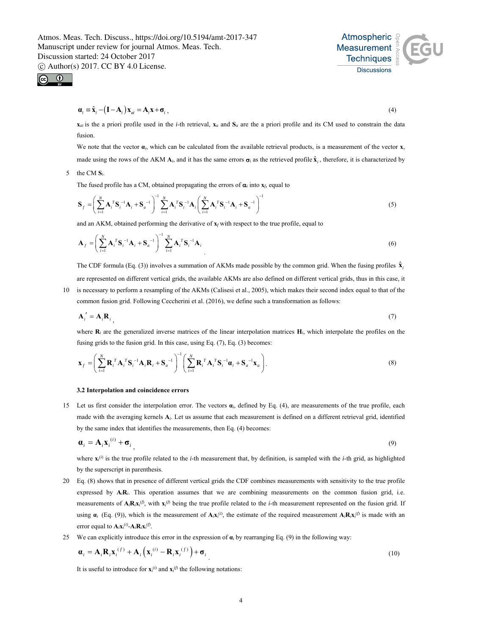$\bigcirc$ 

$$
\mathbf{a}_{i} \equiv \hat{\mathbf{x}}_{i} - (\mathbf{I} - \mathbf{A}_{i}) \mathbf{x}_{ai} = \mathbf{A}_{i} \mathbf{x} + \mathbf{\sigma}_{i}, \qquad (4)
$$

 $\mathbf{x}_a$  is the a priori profile used in the *i*-th retrieval,  $\mathbf{x}_a$  and  $\mathbf{S}_a$  are the a priori profile and its CM used to constrain the data fusion.

We note that the vector  $\alpha_i$ , which can be calculated from the available retrieval products, is a measurement of the vector **x**,

made using the rows of the AKM  $A_i$ , and it has the same errors  $\sigma_i$  as the retrieved profile  $\hat{x}_i$ , therefore, it is characterized by

5 the CM **S***i*.

The fused profile has a CM, obtained propagating the errors of  $\alpha$ <sub>*i*</sub> into  $\mathbf{x}_f$ , equal to

$$
\mathbf{S}_{f} = \left(\sum_{i=1}^{N} \mathbf{A}_{i}^{T} \mathbf{S}_{i}^{-1} \mathbf{A}_{i} + \mathbf{S}_{a}^{-1}\right)^{-1} \sum_{i=1}^{N} \mathbf{A}_{i}^{T} \mathbf{S}_{i}^{-1} \mathbf{A}_{i} \left(\sum_{i=1}^{N} \mathbf{A}_{i}^{T} \mathbf{S}_{i}^{-1} \mathbf{A}_{i} + \mathbf{S}_{a}^{-1}\right)^{-1}
$$
(5)

and an AKM, obtained performing the derivative of **x***f* with respect to the true profile, equal to

$$
\mathbf{A}_{f} = \left(\sum_{i=1}^{N} \mathbf{A}_{i}^{T} \mathbf{S}_{i}^{-1} \mathbf{A}_{i} + \mathbf{S}_{a}^{-1}\right)^{-1} \sum_{i=1}^{N} \mathbf{A}_{i}^{T} \mathbf{S}_{i}^{-1} \mathbf{A}_{i}
$$
\n(6)

The CDF formula (Eq. (3)) involves a summation of AKMs made possible by the common grid. When the fusing profiles  $\hat{\mathbf{x}}_i$ are represented on different vertical grids, the available AKMs are also defined on different vertical grids, thus in this case, it

10 is necessary to perform a resampling of the AKMs (Calisesi et al., 2005), which makes their second index equal to that of the common fusion grid. Following Ceccherini et al. (2016), we define such a transformation as follows:

$$
\mathbf{A}'_i = \mathbf{A}_i \mathbf{R}_i \tag{7}
$$

where  $\mathbf{R}_i$  are the generalized inverse matrices of the linear interpolation matrices  $\mathbf{H}_i$ , which interpolate the profiles on the fusing grids to the fusion grid. In this case, using Eq. (7), Eq. (3) becomes:

$$
\mathbf{x}_{f} = \left(\sum_{i=1}^{N} \mathbf{R}_{i}^{T} \mathbf{A}_{i}^{T} \mathbf{S}_{i}^{-1} \mathbf{A}_{i} \mathbf{R}_{i} + \mathbf{S}_{a}^{-1}\right)^{-1} \left(\sum_{i=1}^{N} \mathbf{R}_{i}^{T} \mathbf{A}_{i}^{T} \mathbf{S}_{i}^{-1} \boldsymbol{\alpha}_{i} + \mathbf{S}_{a}^{-1} \mathbf{x}_{a}\right).
$$
\n(8)

## **3.2 Interpolation and coincidence errors**

15 Let us first consider the interpolation error. The vectors **α***i*, defined by Eq. (4), are measurements of the true profile, each made with the averaging kernels **A***i*. Let us assume that each measurement is defined on a different retrieval grid, identified by the same index that identifies the measurements, then Eq. (4) becomes:

$$
\mathbf{a}_i = \mathbf{A}_i \mathbf{X}_i^{(i)} + \mathbf{\sigma}_i \tag{9}
$$

where  $\mathbf{x}_i^{(i)}$  is the true profile related to the *i*-th measurement that, by definition, is sampled with the *i*-th grid, as highlighted by the superscript in parenthesis.

- 20 Eq. (8) shows that in presence of different vertical grids the CDF combines measurements with sensitivity to the true profile expressed by  $A_iR_i$ . This operation assumes that we are combining measurements on the common fusion grid, i.e. measurements of  $A_iR_ix_i^{(f)}$ , with  $x_i^{(f)}$  being the true profile related to the *i*-th measurement represented on the fusion grid. If using  $\alpha_i$  (Eq. (9)), which is the measurement of  $A_iX_i^{(i)}$ , the estimate of the required measurement  $A_iR_ix_i^{(i)}$  is made with an error equal to  $\mathbf{A}_i \mathbf{x}_i^{(i)}$ - $\mathbf{A}_i \mathbf{R}_i \mathbf{x}_i^{(f)}$ .
- 25 We can explicitly introduce this error in the expression of **α***i* by rearranging Eq. (9) in the following way:

$$
\boldsymbol{\alpha}_{i} = \mathbf{A}_{i} \mathbf{R}_{i} \mathbf{x}_{i}^{(f)} + \mathbf{A}_{i} \left( \mathbf{x}_{i}^{(i)} - \mathbf{R}_{i} \mathbf{x}_{i}^{(f)} \right) + \boldsymbol{\sigma}_{i} \tag{10}
$$

It is useful to introduce for  $\mathbf{x}_i^{(i)}$  and  $\mathbf{x}_i^{(f)}$  the following notations:



$$
\mathcal{L}_{\mathcal{L}_{\mathcal{L}}}
$$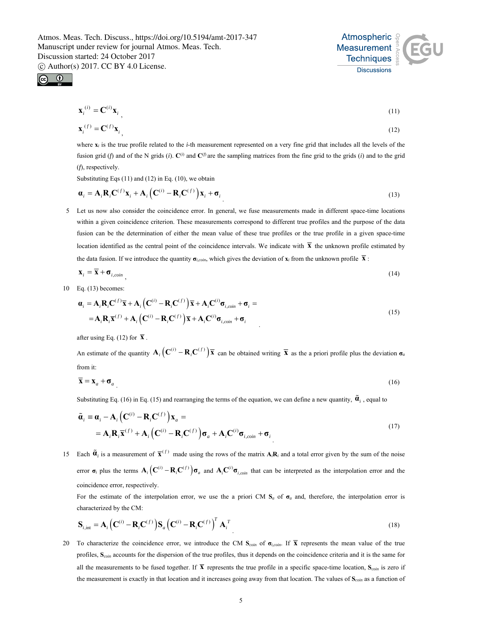



$$
\mathbf{x}_i^{(i)} = \mathbf{C}^{(i)} \mathbf{x}_i \tag{11}
$$

$$
\mathbf{x}_i^{(f)} = \mathbf{C}^{(f)} \mathbf{x}_i \tag{12}
$$

where **x***i* is the true profile related to the *i*-th measurement represented on a very fine grid that includes all the levels of the fusion grid (*f*) and of the N grids (*i*).  $\mathbf{C}^{(i)}$  and  $\mathbf{C}^{(f)}$  are the sampling matrices from the fine grid to the grids (*i*) and to the grid (*f*), respectively.

Substituting Eqs (11) and (12) in Eq. (10), we obtain

$$
\boldsymbol{\alpha}_i = \mathbf{A}_i \mathbf{R}_i \mathbf{C}^{(f)} \mathbf{x}_i + \mathbf{A}_i \left( \mathbf{C}^{(i)} - \mathbf{R}_i \mathbf{C}^{(f)} \right) \mathbf{x}_i + \boldsymbol{\sigma}_i
$$
\n(13)

5 Let us now also consider the coincidence error. In general, we fuse measurements made in different space-time locations within a given coincidence criterion. These measurements correspond to different true profiles and the purpose of the data fusion can be the determination of either the mean value of these true profiles or the true profile in a given space-time location identified as the central point of the coincidence intervals. We indicate with  $\bar{x}$  the unknown profile estimated by the data fusion. If we introduce the quantity  $\sigma_{i, coin}$ , which gives the deviation of  $\mathbf{x}_i$  from the unknown profile  $\overline{\mathbf{x}}$ :

$$
\mathbf{x}_{i} = \overline{\mathbf{x}} + \mathbf{\sigma}_{i, coin} \tag{14}
$$

10 Eq. (13) becomes:

$$
\mathbf{a}_{i} = \mathbf{A}_{i} \mathbf{R}_{i} \mathbf{C}^{(f)} \overline{\mathbf{x}} + \mathbf{A}_{i} \left( \mathbf{C}^{(i)} - \mathbf{R}_{i} \mathbf{C}^{(f)} \right) \overline{\mathbf{x}} + \mathbf{A}_{i} \mathbf{C}^{(i)} \boldsymbol{\sigma}_{i, coin} + \boldsymbol{\sigma}_{i} =
$$
\n
$$
= \mathbf{A}_{i} \mathbf{R}_{i} \overline{\mathbf{x}}^{(f)} + \mathbf{A}_{i} \left( \mathbf{C}^{(i)} - \mathbf{R}_{i} \mathbf{C}^{(f)} \right) \overline{\mathbf{x}} + \mathbf{A}_{i} \mathbf{C}^{(i)} \boldsymbol{\sigma}_{i, coin} + \boldsymbol{\sigma}_{i}
$$
\n(15)

after using Eq. (12) for  $\bar{x}$ .

An estimate of the quantity  $\mathbf{A}_i (\mathbf{C}^{(i)} - \mathbf{R}_i \mathbf{C}^{(f)}) \overline{\mathbf{x}}$  can be obtained writing  $\overline{\mathbf{x}}$  as the a priori profile plus the deviation  $\sigma_a$ from it:

$$
\overline{\mathbf{X}} = \mathbf{X}_a + \mathbf{\sigma}_a \tag{16}
$$

Substituting Eq. (16) in Eq. (15) and rearranging the terms of the equation, we can define a new quantity,  $\tilde{a}$ , equal to

$$
\tilde{\mathbf{a}}_i = \mathbf{a}_i - \mathbf{A}_i \left( \mathbf{C}^{(i)} - \mathbf{R}_i \mathbf{C}^{(f)} \right) \mathbf{x}_a =
$$
\n
$$
= \mathbf{A}_i \mathbf{R}_i \overline{\mathbf{x}}^{(f)} + \mathbf{A}_i \left( \mathbf{C}^{(i)} - \mathbf{R}_i \mathbf{C}^{(f)} \right) \sigma_a + \mathbf{A}_i \mathbf{C}^{(i)} \sigma_{i, coin} + \sigma_i
$$
\n(17)

15 Each  $\tilde{a}_i$  is a measurement of  $\overline{x}^{(f)}$  made using the rows of the matrix  $A_iR_i$  and a total error given by the sum of the noise error  $\sigma_i$  plus the terms  $A_i (C^{(i)} - R_i C^{(f)}) \sigma_a$  and  $A_i C^{(i)} \sigma_{i, coin}$  that can be interpreted as the interpolation error and the coincidence error, respectively.

For the estimate of the interpolation error, we use the a priori CM **S***a* of **σ***a* and, therefore, the interpolation error is characterized by the CM:

$$
\mathbf{S}_{i,\text{int}} = \mathbf{A}_i \left( \mathbf{C}^{(i)} - \mathbf{R}_i \mathbf{C}^{(f)} \right) \mathbf{S}_a \left( \mathbf{C}^{(i)} - \mathbf{R}_i \mathbf{C}^{(f)} \right)^T \mathbf{A}_i^T
$$
\n(18)

20 To characterize the coincidence error, we introduce the CM  $S_{coin}$  of  $\sigma_{i, coin}$ . If  $\bar{\mathbf{X}}$  represents the mean value of the true profiles, **S***coin* accounts for the dispersion of the true profiles, thus it depends on the coincidence criteria and it is the same for all the measurements to be fused together. If  $\bar{x}$  represents the true profile in a specific space-time location,  $S_{\text{coin}}$  is zero if the measurement is exactly in that location and it increases going away from that location. The values of **S***coin* as a function of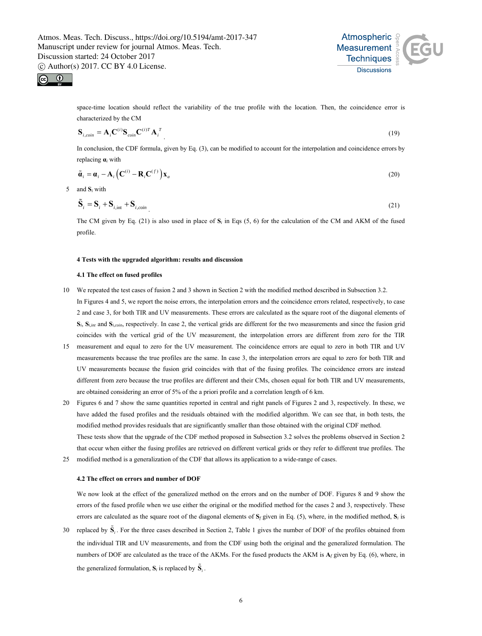



space-time location should reflect the variability of the true profile with the location. Then, the coincidence error is characterized by the CM

$$
\mathbf{S}_{i, coin} = \mathbf{A}_i \mathbf{C}^{(i)} \mathbf{S}_{coin} \mathbf{C}^{(i)T} \mathbf{A}_i^T
$$
\n(19)

In conclusion, the CDF formula, given by Eq. (3), can be modified to account for the interpolation and coincidence errors by replacing **α***i* with

$$
\tilde{\boldsymbol{\alpha}}_i = \boldsymbol{\alpha}_i - \mathbf{A}_i \left( \mathbf{C}^{(i)} - \mathbf{R}_i \mathbf{C}^{(f)} \right) \mathbf{x}_a
$$
\n(20)

5 and **S***i* with

$$
\tilde{\mathbf{S}}_i = \mathbf{S}_i + \mathbf{S}_{i, \text{int}} + \mathbf{S}_{i, \text{coin}} \tag{21}
$$

The CM given by Eq. (21) is also used in place of **S***i* in Eqs (5, 6) for the calculation of the CM and AKM of the fused profile.

#### **4 Tests with the upgraded algorithm: results and discussion**

#### **4.1 The effect on fused profiles**

- 10 We repeated the test cases of fusion 2 and 3 shown in Section 2 with the modified method described in Subsection 3.2. In Figures 4 and 5, we report the noise errors, the interpolation errors and the coincidence errors related, respectively, to case 2 and case 3, for both TIR and UV measurements. These errors are calculated as the square root of the diagonal elements of **S***i*, **S***i,int* and **S***i,coin*, respectively. In case 2, the vertical grids are different for the two measurements and since the fusion grid coincides with the vertical grid of the UV measurement, the interpolation errors are different from zero for the TIR
- 15 measurement and equal to zero for the UV measurement. The coincidence errors are equal to zero in both TIR and UV measurements because the true profiles are the same. In case 3, the interpolation errors are equal to zero for both TIR and UV measurements because the fusion grid coincides with that of the fusing profiles. The coincidence errors are instead different from zero because the true profiles are different and their CMs, chosen equal for both TIR and UV measurements, are obtained considering an error of 5% of the a priori profile and a correlation length of 6 km.
- 20 Figures 6 and 7 show the same quantities reported in central and right panels of Figures 2 and 3, respectively. In these, we have added the fused profiles and the residuals obtained with the modified algorithm. We can see that, in both tests, the modified method provides residuals that are significantly smaller than those obtained with the original CDF method. These tests show that the upgrade of the CDF method proposed in Subsection 3.2 solves the problems observed in Section 2 that occur when either the fusing profiles are retrieved on different vertical grids or they refer to different true profiles. The
- 25 modified method is a generalization of the CDF that allows its application to a wide-range of cases.

# **4.2 The effect on errors and number of DOF**

We now look at the effect of the generalized method on the errors and on the number of DOF. Figures 8 and 9 show the errors of the fused profile when we use either the original or the modified method for the cases 2 and 3, respectively. These errors are calculated as the square root of the diagonal elements of **S***f* given in Eq. (5), where, in the modified method, **S***i* is

30 replaced by  $\tilde{S}_i$ . For the three cases described in Section 2, Table 1 gives the number of DOF of the profiles obtained from the individual TIR and UV measurements, and from the CDF using both the original and the generalized formulation. The numbers of DOF are calculated as the trace of the AKMs. For the fused products the AKM is **A***f* given by Eq. (6), where, in the generalized formulation,  $S_i$  is replaced by  $\tilde{S}_i$ .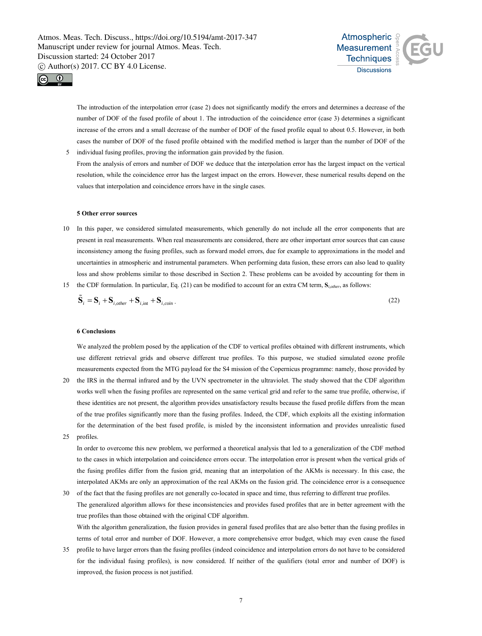



The introduction of the interpolation error (case 2) does not significantly modify the errors and determines a decrease of the number of DOF of the fused profile of about 1. The introduction of the coincidence error (case 3) determines a significant increase of the errors and a small decrease of the number of DOF of the fused profile equal to about 0.5. However, in both cases the number of DOF of the fused profile obtained with the modified method is larger than the number of DOF of the

5 individual fusing profiles, proving the information gain provided by the fusion. From the analysis of errors and number of DOF we deduce that the interpolation error has the largest impact on the vertical resolution, while the coincidence error has the largest impact on the errors. However, these numerical results depend on the values that interpolation and coincidence errors have in the single cases.

#### **5 Other error sources**

10 In this paper, we considered simulated measurements, which generally do not include all the error components that are present in real measurements. When real measurements are considered, there are other important error sources that can cause inconsistency among the fusing profiles, such as forward model errors, due for example to approximations in the model and uncertainties in atmospheric and instrumental parameters. When performing data fusion, these errors can also lead to quality loss and show problems similar to those described in Section 2. These problems can be avoided by accounting for them in 15 the CDF formulation. In particular, Eq. (21) can be modified to account for an extra CM term, **S***i,other*, as follows:

$$
\tilde{\mathbf{S}}_i = \mathbf{S}_i + \mathbf{S}_{i,other} + \mathbf{S}_{i,int} + \mathbf{S}_{i,coin} \tag{22}
$$

#### **6 Conclusions**

We analyzed the problem posed by the application of the CDF to vertical profiles obtained with different instruments, which use different retrieval grids and observe different true profiles. To this purpose, we studied simulated ozone profile measurements expected from the MTG payload for the S4 mission of the Copernicus programme: namely, those provided by

- 20 the IRS in the thermal infrared and by the UVN spectrometer in the ultraviolet. The study showed that the CDF algorithm works well when the fusing profiles are represented on the same vertical grid and refer to the same true profile, otherwise, if these identities are not present, the algorithm provides unsatisfactory results because the fused profile differs from the mean of the true profiles significantly more than the fusing profiles. Indeed, the CDF, which exploits all the existing information for the determination of the best fused profile, is misled by the inconsistent information and provides unrealistic fused
- 25 profiles.

In order to overcome this new problem, we performed a theoretical analysis that led to a generalization of the CDF method to the cases in which interpolation and coincidence errors occur. The interpolation error is present when the vertical grids of the fusing profiles differ from the fusion grid, meaning that an interpolation of the AKMs is necessary. In this case, the interpolated AKMs are only an approximation of the real AKMs on the fusion grid. The coincidence error is a consequence

- 30 of the fact that the fusing profiles are not generally co-located in space and time, thus referring to different true profiles. The generalized algorithm allows for these inconsistencies and provides fused profiles that are in better agreement with the true profiles than those obtained with the original CDF algorithm. With the algorithm generalization, the fusion provides in general fused profiles that are also better than the fusing profiles in terms of total error and number of DOF. However, a more comprehensive error budget, which may even cause the fused
- 35 profile to have larger errors than the fusing profiles (indeed coincidence and interpolation errors do not have to be considered for the individual fusing profiles), is now considered. If neither of the qualifiers (total error and number of DOF) is improved, the fusion process is not justified.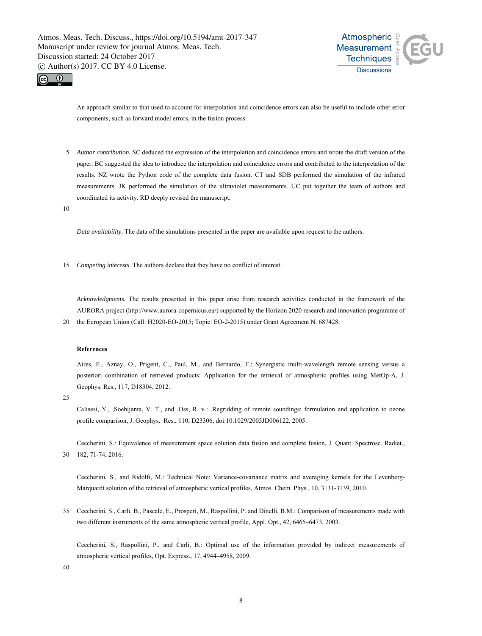



An approach similar to that used to account for interpolation and coincidence errors can also be useful to include other error components, such as forward model errors, in the fusion process.

5 *Author contribution.* SC deduced the expression of the interpolation and coincidence errors and wrote the draft version of the paper. BC suggested the idea to introduce the interpolation and coincidence errors and contributed to the interpretation of the results. NZ wrote the Python code of the complete data fusion. CT and SDB performed the simulation of the infrared measurements. JK performed the simulation of the ultraviolet measurements. UC put together the team of authors and coordinated its activity. RD deeply revised the manuscript.

10

*Data availability.* The data of the simulations presented in the paper are available upon request to the authors.

15 *Competing interests.* The authors declare that they have no conflict of interest.

*Acknowledgments.* The results presented in this paper arise from research activities conducted in the framework of the AURORA project (http://www.aurora-copernicus.eu/) supported by the Horizon 2020 research and innovation programme of 20 the European Union (Call: H2020-EO-2015; Topic: EO-2-2015) under Grant Agreement N. 687428.

# **References**

Aires, F., Aznay, O., Prigent, C., Paul, M., and Bernardo, F.: Synergistic multi-wavelength remote sensing versus a posteriori combination of retrieved products: Application for the retrieval of atmospheric profiles using MetOp-A, J. Geophys. Res., 117, D18304, 2012.

25

Calisesi, Y., ,Soebijanta, V. T., and .Oss, R. v.: .Regridding of remote soundings: formulation and application to ozone profile comparison, J. Geophys. Res., 110, D23306, doi:10.1029/2005JD006122, 2005.

Ceccherini, S.: Equivalence of measurement space solution data fusion and complete fusion, J. Quant. Spectrosc. Radiat., 30 182, 71-74, 2016.

Ceccherini, S., and Ridolfi, M.: Technical Note: Variance-covariance matrix and averaging kernels for the Levenberg-Marquardt solution of the retrieval of atmospheric vertical profiles, Atmos. Chem. Phys., 10, 3131-3139, 2010.

35 Ceccherini, S., Carli, B., Pascale, E., Prosperi, M., Raspollini, P. and Dinelli, B.M.: Comparison of measurements made with two different instruments of the same atmospheric vertical profile, Appl. Opt., 42, 6465–6473, 2003.

Ceccherini, S., Raspollini, P., and Carli, B.: Optimal use of the information provided by indirect measurements of atmospheric vertical profiles, Opt. Express., 17, 4944–4958, 2009.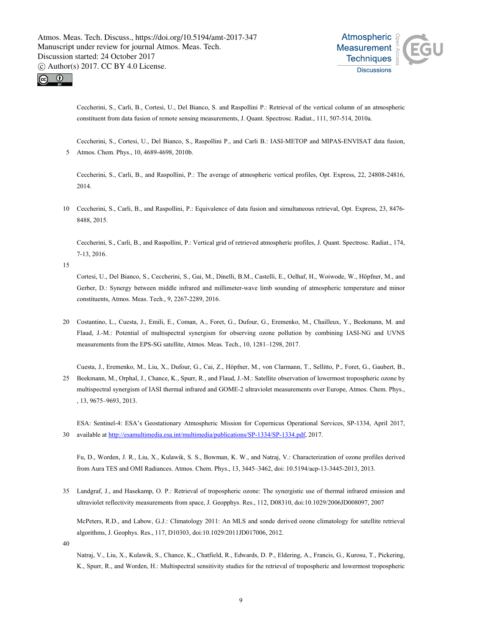



Ceccherini, S., Carli, B., Cortesi, U., Del Bianco, S. and Raspollini P.: Retrieval of the vertical column of an atmospheric constituent from data fusion of remote sensing measurements, J. Quant. Spectrosc. Radiat., 111, 507-514, 2010a.

Ceccherini, S., Cortesi, U., Del Bianco, S., Raspollini P., and Carli B.: IASI-METOP and MIPAS-ENVISAT data fusion, 5 Atmos. Chem. Phys., 10, 4689-4698, 2010b.

Ceccherini, S., Carli, B., and Raspollini, P.: The average of atmospheric vertical profiles, Opt. Express, 22, 24808-24816, 2014.

10 Ceccherini, S., Carli, B., and Raspollini, P.: Equivalence of data fusion and simultaneous retrieval, Opt. Express, 23, 8476- 8488, 2015.

Ceccherini, S., Carli, B., and Raspollini, P.: Vertical grid of retrieved atmospheric profiles, J. Quant. Spectrosc. Radiat., 174, 7-13, 2016.

15

Cortesi, U., Del Bianco, S., Ceccherini, S., Gai, M., Dinelli, B.M., Castelli, E., Oelhaf, H., Woiwode, W., Höpfner, M., and Gerber, D.: Synergy between middle infrared and millimeter-wave limb sounding of atmospheric temperature and minor constituents, Atmos. Meas. Tech., 9, 2267-2289, 2016.

- 20 Costantino, L., Cuesta, J., Emili, E., Coman, A., Foret, G., Dufour, G., Eremenko, M., Chailleux, Y., Beekmann, M. and Flaud, J.-M.: Potential of multispectral synergism for observing ozone pollution by combining IASI-NG and UVNS measurements from the EPS-SG satellite, Atmos. Meas. Tech., 10, 1281–1298, 2017.
- Cuesta, J., Eremenko, M., Liu, X., Dufour, G., Cai, Z., Höpfner, M., von Clarmann, T., Sellitto, P., Foret, G., Gaubert, B., 25 Beekmann, M., Orphal, J., Chance, K., Spurr, R., and Flaud, J.-M.: Satellite observation of lowermost tropospheric ozone by multispectral synergism of IASI thermal infrared and GOME-2 ultraviolet measurements over Europe, Atmos. Chem. Phys., , 13, 9675–9693, 2013.

ESA: Sentinel-4: ESA's Geostationary Atmospheric Mission for Copernicus Operational Services, SP-1334, April 2017, 30 available at http://esamultimedia.esa.int/multimedia/publications/SP-1334/SP-1334.pdf, 2017.

Fu, D., Worden, J. R., Liu, X., Kulawik, S. S., Bowman, K. W., and Natraj, V.: Characterization of ozone profiles derived from Aura TES and OMI Radiances. Atmos. Chem. Phys., 13, 3445–3462, doi: 10.5194/acp-13-3445-2013, 2013.

35 Landgraf, J., and Hasekamp, O. P.: Retrieval of tropospheric ozone: The synergistic use of thermal infrared emission and ultraviolet reflectivity measurements from space, J. Geopphys. Res., 112, D08310, doi:10.1029/2006JD008097, 2007

McPeters, R.D., and Labow, G.J.: Climatology 2011: An MLS and sonde derived ozone climatology for satellite retrieval algorithms, J. Geophys. Res., 117, D10303, doi:10.1029/2011JD017006, 2012.

40

Natraj, V., Liu, X., Kulawik, S., Chance, K., Chatfield, R., Edwards, D. P., Eldering, A., Francis, G., Kurosu, T., Pickering, K., Spurr, R., and Worden, H.: Multispectral sensitivity studies for the retrieval of tropospheric and lowermost tropospheric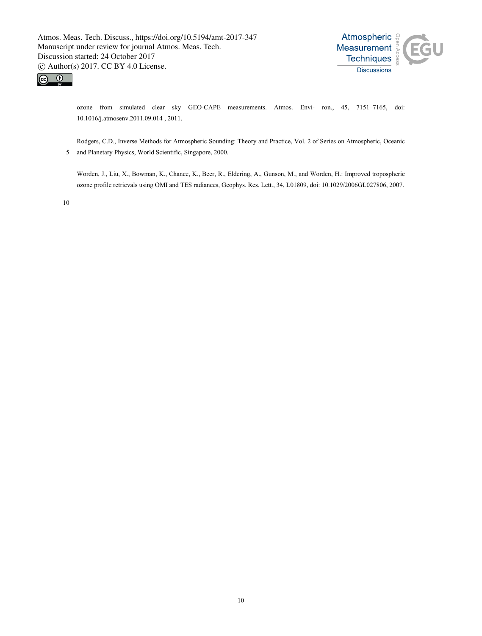



ozone from simulated clear sky GEO-CAPE measurements. Atmos. Envi- ron., 45, 7151–7165, doi: 10.1016/j.atmosenv.2011.09.014 , 2011.

Rodgers, C.D., Inverse Methods for Atmospheric Sounding: Theory and Practice, Vol. 2 of Series on Atmospheric, Oceanic 5 and Planetary Physics, World Scientific, Singapore, 2000.

Worden, J., Liu, X., Bowman, K., Chance, K., Beer, R., Eldering, A., Gunson, M., and Worden, H.: Improved tropospheric ozone profile retrievals using OMI and TES radiances, Geophys. Res. Lett., 34, L01809, doi: 10.1029/2006GL027806, 2007.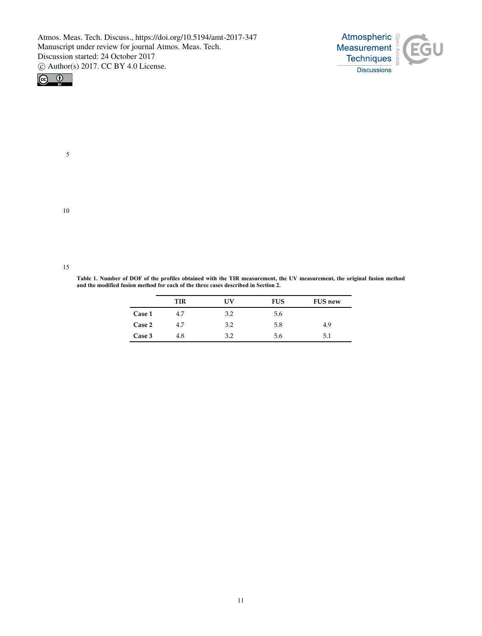



5

10

**Table 1. Number of DOF of the profiles obtained with the TIR measurement, the UV measurement, the original fusion method and the modified fusion method for each of the three cases described in Section 2.** 

|        | TIR | UV  | <b>FUS</b> | <b>FUS new</b> |
|--------|-----|-----|------------|----------------|
| Case 1 | 4.7 | 3.2 | 5.6        |                |
| Case 2 | 4.7 | 3.2 | 5.8        | 4.9            |
| Case 3 | 4.8 | 3.2 | 5.6        | 5.1            |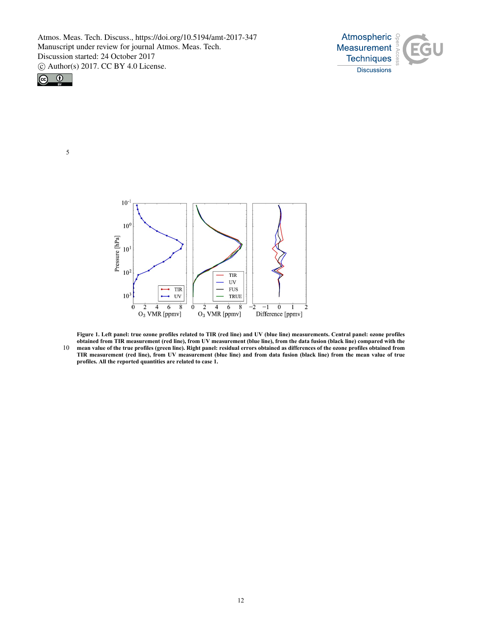



5

 $10^{-1}$  $10<sup>0</sup>$ Pressure [hPa]  $10^1$  $10<sup>2</sup>$ TIR UV  $\overline{\text{TIR}}$ **FUS**  $10<sup>2</sup>$  $\mathbf{U}\mathbf{V}$ TRUE  $\overline{6}$  $\overline{8}$  $\overline{2}$  $\overline{4}$  $\overline{6}$  $\overline{8}$  $\overline{0}$  $\overline{0}$  $\overline{2}$  $\overline{4}$  $\overline{0}$  $\overline{2}$  $-1$  $\overline{2}$  $\mathbf{1}$  $O<sub>3</sub>$  VMR [ppmv]  $O_3$  VMR [ppmv] Difference [ppmv]

**Figure 1. Left panel: true ozone profiles related to TIR (red line) and UV (blue line) measurements. Central panel: ozone profiles obtained from TIR measurement (red line), from UV measurement (blue line), from the data fusion (black line) compared with the** 10 **mean value of the true profiles (green line). Right panel: residual errors obtained as differences of the ozone profiles obtained from TIR measurement (red line), from UV measurement (blue line) and from data fusion (black line) from the mean value of true profiles. All the reported quantities are related to case 1.**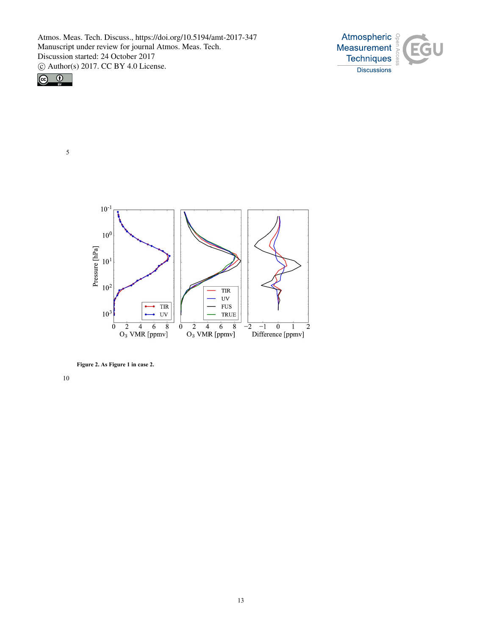



5

 $10^{-1}$  $10<sup>6</sup>$ Pressure [hPa]  $10^1$  $10<sup>2</sup>$ **TIR**  $UV$ TIR **FUS**  $\overline{a}$ ۰  $10<sup>3</sup>$  $\bullet$  UV **TRUE**  $\frac{2}{\text{O}_3 \text{ VMR [ppmv]}}$  $\frac{2}{\text{O}_3 \text{ VMR [ppmv]}}$  $\overline{8}$  $\frac{2}{2}$  -1 0 1<br>Difference [ppmv]  $\overline{0}$  $-\overline{2}$  $\overline{2}$  $\overline{0}$ 

**Figure 2. As Figure 1 in case 2.**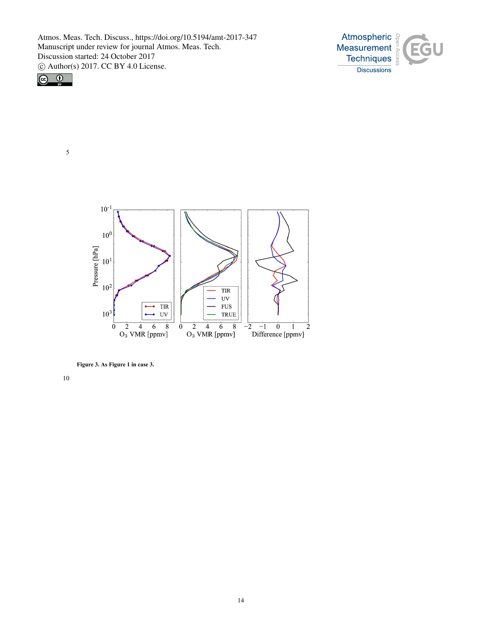



5



**Figure 3. As Figure 1 in case 3.**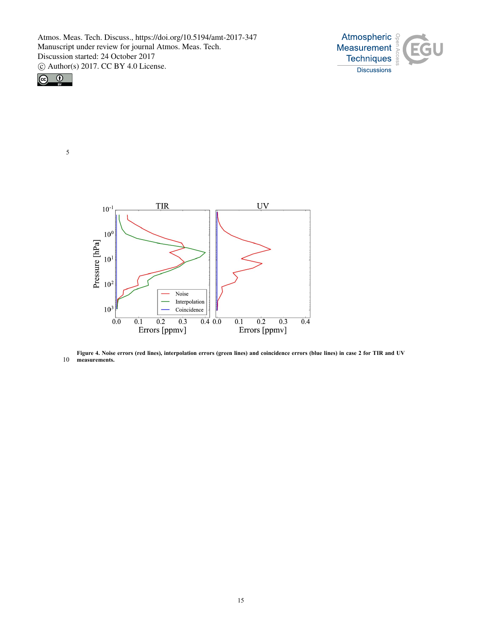





**Figure 4. Noise errors (red lines), interpolation errors (green lines) and coincidence errors (blue lines) in case 2 for TIR and UV**  10 **measurements.**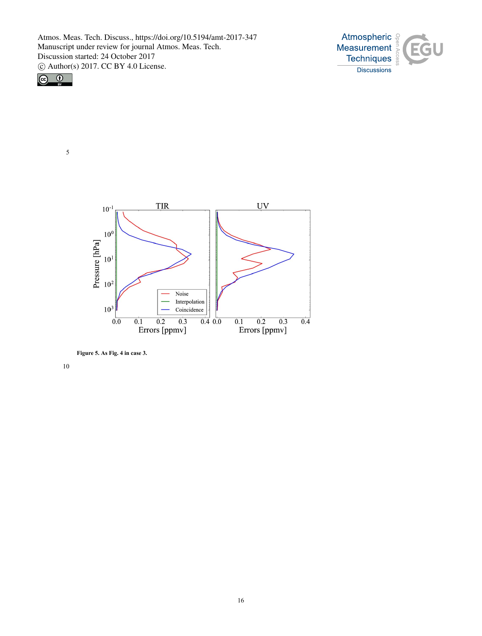



5



**Figure 5. As Fig. 4 in case 3.**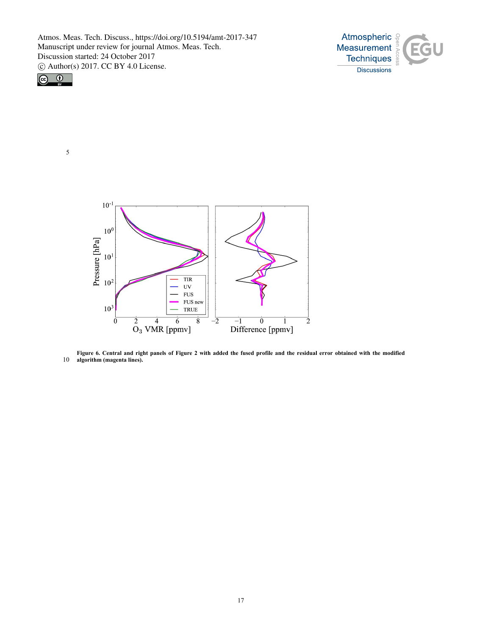





**Figure 6. Central and right panels of Figure 2 with added the fused profile and the residual error obtained with the modified**  10 **algorithm (magenta lines).**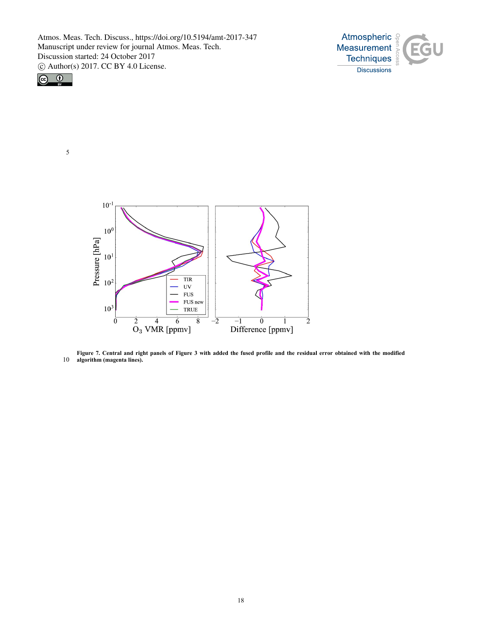



5

 $10^{-1}$  $10<sup>0</sup>$ Pressure [hPa]  $10<sup>1</sup>$  $TIR$  $10<sup>2</sup>$  $UV$ **FUS** FUS new  $10^3$ **TRUE**  $\frac{2}{\text{O}_3} \frac{4}{\text{VMR [ppmv]}}$  $\overline{8}$  $\overline{0}$  $\overline{0}$  $\overline{-1}$ -2  $\mathbf{1}$  $\overline{\mathbf{c}}$ Difference [ppmv]

**Figure 7. Central and right panels of Figure 3 with added the fused profile and the residual error obtained with the modified**  10 **algorithm (magenta lines).**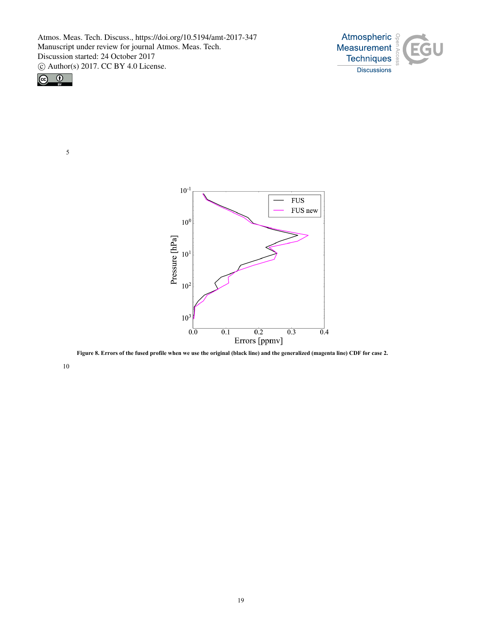



5



**Figure 8. Errors of the fused profile when we use the original (black line) and the generalized (magenta line) CDF for case 2.**